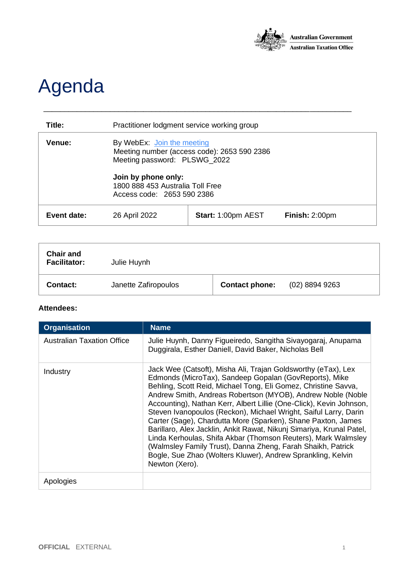

## Agenda

| Title:      | Practitioner lodgment service working group                                                               |                           |                |
|-------------|-----------------------------------------------------------------------------------------------------------|---------------------------|----------------|
| Venue:      | By WebEx: Join the meeting<br>Meeting number (access code): 2653 590 2386<br>Meeting password: PLSWG_2022 |                           |                |
|             | Join by phone only:<br>1800 888 453 Australia Toll Free<br>Access code: 2653 590 2386                     |                           |                |
| Event date: | 26 April 2022                                                                                             | <b>Start: 1:00pm AEST</b> | Finish: 2:00pm |

\_\_\_\_\_\_\_\_\_\_\_\_\_\_\_\_\_\_\_\_\_\_\_\_\_\_\_\_\_\_\_\_\_\_\_\_\_\_\_\_\_\_\_\_\_\_\_\_\_\_\_\_\_\_\_\_\_\_\_\_\_\_\_\_\_\_\_\_\_\_\_\_\_\_

| <b>Chair and</b><br><b>Facilitator:</b> | Julie Huynh          |                       |                  |
|-----------------------------------------|----------------------|-----------------------|------------------|
| Contact:                                | Janette Zafiropoulos | <b>Contact phone:</b> | $(02)$ 8894 9263 |

## **Attendees:**

| <b>Organisation</b>               | <b>Name</b>                                                                                                                                                                                                                                                                                                                                                                                                                                                                                                                                                                                                                                                                                                                                                  |
|-----------------------------------|--------------------------------------------------------------------------------------------------------------------------------------------------------------------------------------------------------------------------------------------------------------------------------------------------------------------------------------------------------------------------------------------------------------------------------------------------------------------------------------------------------------------------------------------------------------------------------------------------------------------------------------------------------------------------------------------------------------------------------------------------------------|
| <b>Australian Taxation Office</b> | Julie Huynh, Danny Figueiredo, Sangitha Sivayogaraj, Anupama<br>Duggirala, Esther Daniell, David Baker, Nicholas Bell                                                                                                                                                                                                                                                                                                                                                                                                                                                                                                                                                                                                                                        |
| Industry                          | Jack Wee (Catsoft), Misha Ali, Trajan Goldsworthy (eTax), Lex<br>Edmonds (MicroTax), Sandeep Gopalan (GovReports), Mike<br>Behling, Scott Reid, Michael Tong, Eli Gomez, Christine Savva,<br>Andrew Smith, Andreas Robertson (MYOB), Andrew Noble (Noble<br>Accounting), Nathan Kerr, Albert Lillie (One-Click), Kevin Johnson,<br>Steven Ivanopoulos (Reckon), Michael Wright, Saiful Larry, Darin<br>Carter (Sage), Chardutta More (Sparken), Shane Paxton, James<br>Barillaro, Alex Jacklin, Ankit Rawat, Nikunj Simariya, Krunal Patel,<br>Linda Kerhoulas, Shifa Akbar (Thomson Reuters), Mark Walmsley<br>(Walmsley Family Trust), Danna Zheng, Farah Shaikh, Patrick<br>Bogle, Sue Zhao (Wolters Kluwer), Andrew Sprankling, Kelvin<br>Newton (Xero). |
| Apologies                         |                                                                                                                                                                                                                                                                                                                                                                                                                                                                                                                                                                                                                                                                                                                                                              |